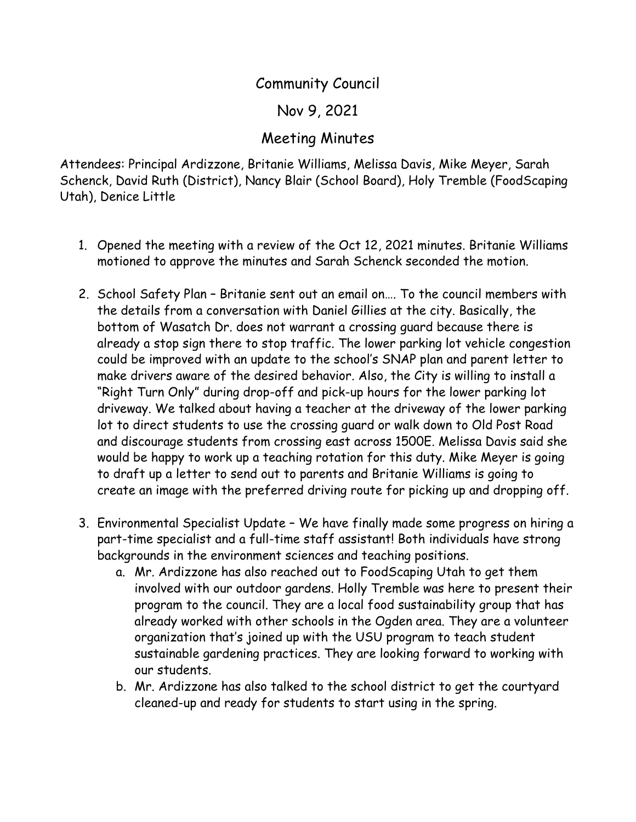## Community Council

## Nov 9, 2021

## Meeting Minutes

Attendees: Principal Ardizzone, Britanie Williams, Melissa Davis, Mike Meyer, Sarah Schenck, David Ruth (District), Nancy Blair (School Board), Holy Tremble (FoodScaping Utah), Denice Little

- 1. Opened the meeting with a review of the Oct 12, 2021 minutes. Britanie Williams motioned to approve the minutes and Sarah Schenck seconded the motion.
- 2. School Safety Plan Britanie sent out an email on…. To the council members with the details from a conversation with Daniel Gillies at the city. Basically, the bottom of Wasatch Dr. does not warrant a crossing guard because there is already a stop sign there to stop traffic. The lower parking lot vehicle congestion could be improved with an update to the school's SNAP plan and parent letter to make drivers aware of the desired behavior. Also, the City is willing to install a "Right Turn Only" during drop-off and pick-up hours for the lower parking lot driveway. We talked about having a teacher at the driveway of the lower parking lot to direct students to use the crossing guard or walk down to Old Post Road and discourage students from crossing east across 1500E. Melissa Davis said she would be happy to work up a teaching rotation for this duty. Mike Meyer is going to draft up a letter to send out to parents and Britanie Williams is going to create an image with the preferred driving route for picking up and dropping off.
- 3. Environmental Specialist Update We have finally made some progress on hiring a part-time specialist and a full-time staff assistant! Both individuals have strong backgrounds in the environment sciences and teaching positions.
	- a. Mr. Ardizzone has also reached out to FoodScaping Utah to get them involved with our outdoor gardens. Holly Tremble was here to present their program to the council. They are a local food sustainability group that has already worked with other schools in the Ogden area. They are a volunteer organization that's joined up with the USU program to teach student sustainable gardening practices. They are looking forward to working with our students.
	- b. Mr. Ardizzone has also talked to the school district to get the courtyard cleaned-up and ready for students to start using in the spring.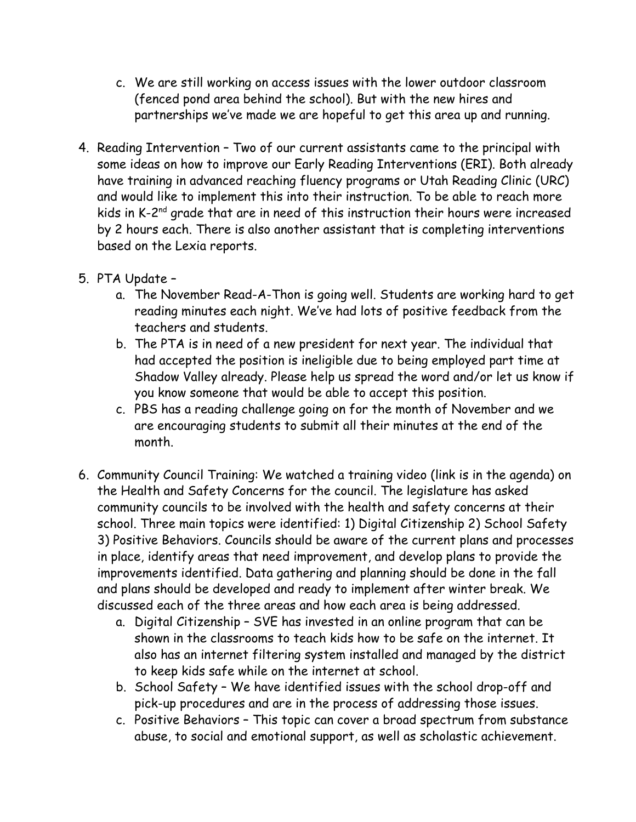- c. We are still working on access issues with the lower outdoor classroom (fenced pond area behind the school). But with the new hires and partnerships we've made we are hopeful to get this area up and running.
- 4. Reading Intervention Two of our current assistants came to the principal with some ideas on how to improve our Early Reading Interventions (ERI). Both already have training in advanced reaching fluency programs or Utah Reading Clinic (URC) and would like to implement this into their instruction. To be able to reach more kids in K-2<sup>nd</sup> grade that are in need of this instruction their hours were increased by 2 hours each. There is also another assistant that is completing interventions based on the Lexia reports.
- 5. PTA Update
	- a. The November Read-A-Thon is going well. Students are working hard to get reading minutes each night. We've had lots of positive feedback from the teachers and students.
	- b. The PTA is in need of a new president for next year. The individual that had accepted the position is ineligible due to being employed part time at Shadow Valley already. Please help us spread the word and/or let us know if you know someone that would be able to accept this position.
	- c. PBS has a reading challenge going on for the month of November and we are encouraging students to submit all their minutes at the end of the month.
- 6. Community Council Training: We watched a training video (link is in the agenda) on the Health and Safety Concerns for the council. The legislature has asked community councils to be involved with the health and safety concerns at their school. Three main topics were identified: 1) Digital Citizenship 2) School Safety 3) Positive Behaviors. Councils should be aware of the current plans and processes in place, identify areas that need improvement, and develop plans to provide the improvements identified. Data gathering and planning should be done in the fall and plans should be developed and ready to implement after winter break. We discussed each of the three areas and how each area is being addressed.
	- a. Digital Citizenship SVE has invested in an online program that can be shown in the classrooms to teach kids how to be safe on the internet. It also has an internet filtering system installed and managed by the district to keep kids safe while on the internet at school.
	- b. School Safety We have identified issues with the school drop-off and pick-up procedures and are in the process of addressing those issues.
	- c. Positive Behaviors This topic can cover a broad spectrum from substance abuse, to social and emotional support, as well as scholastic achievement.